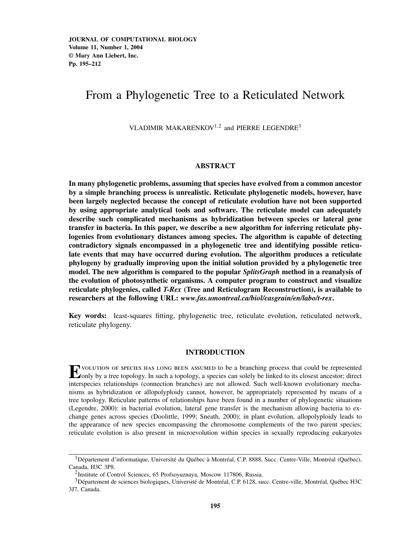# From a Phylogenetic Tree to a Reticulated Network

VLADIMIR MAKARENKOV<sup>1,2</sup> and PIERRE LEGENDRE<sup>3</sup>

## **ABSTRACT**

**In many phylogenetic problems, assuming that species have evolved from a common ancestor by a simple branching process is unrealistic. Reticulate phylogenetic models, however, have been largely neglected because the concept of reticulate evolution have not been supported by using appropriate analytical tools and software. The reticulate model can adequately describe such complicated mechanisms as hybridization between species or lateral gene transfer in bacteria. In this paper, we describe a new algorithm for inferring reticulate phylogenies from evolutionary distances among species. The algorithm is capable of detecting contradictory signals encompassed in a phylogenetic tree and identifying possible reticulate events that may have occurred during evolution. The algorithm produces a reticulate phylogeny by gradually improving upon the initial solution provided by a phylogenetic tree model. The new algorithm is compared to the popular** *SplitsGraph* **method in a reanalysis of the evolution of photosynthetic organisms. A computer program to construct and visualize reticulate phylogenies, called** *T-Rex* **(Tree and Reticulogram Reconstruction), is available to researchers at the following URL:** *www.fas.umontreal.ca/biol/casgrain/en/labo/t-rex***.**

**Key words:** least-squares fitting, phylogenetic tree, reticulate evolution, reticulated network, reticulate phylogeny.

## **INTRODUCTION**

**E**VOLUTION OF SPECIES HAS LONG BEEN ASSUMED to be a branching process that could be represented only by a tree topology. In such a topology, a species can solely be linked to its closest ancestor; direct interspecies relationships (connection branches) are not allowed. Such well-known evolutionary mechanisms as hybridization or allopolyploidy cannot, however, be appropriately represented by means of a tree topology. Reticulate patterns of relationships have been found in a number of phylogenetic situations (Legendre, 2000): in bacterial evolution, lateral gene transfer is the mechanism allowing bacteria to exchange genes across species (Doolittle, 1999; Sneath, 2000); in plant evolution, allopolyploidy leads to the appearance of new species encompassing the chromosome complements of the two parent species; reticulate evolution is also present in microevolution within species in sexually reproducing eukaryotes

<sup>&</sup>lt;sup>1</sup>Département d'informatique, Université du Québec à Montréal, C.P. 8888, Succ. Centre-Ville, Montréal (Québec), Canada, H3C 3P8.

<sup>&</sup>lt;sup>2</sup>Institute of Control Sciences, 65 Profsoyuznaya, Moscow 117806, Russia.

 $3$ Département de sciences biologiques, Université de Montréal, C.P. 6128, succ. Centre-ville, Montréal, Québec H3C 3J7, Canada.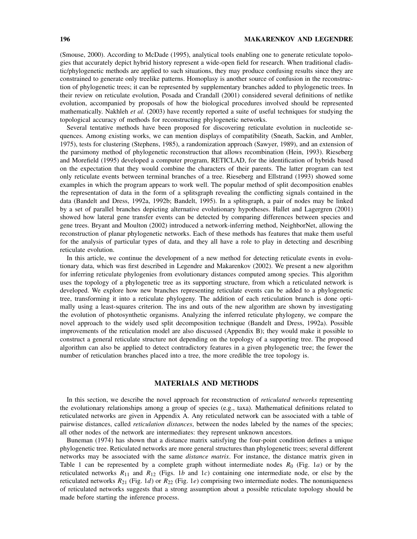(Smouse, 2000). According to McDade (1995), analytical tools enabling one to generate reticulate topologies that accurately depict hybrid history represent a wide-open field for research. When traditional cladistic/phylogenetic methods are applied to such situations, they may produce confusing results since they are constrained to generate only treelike patterns. Homoplasy is another source of confusion in the reconstruction of phylogenetic trees; it can be represented by supplementary branches added to phylogenetic trees. In their review on reticulate evolution, Posada and Crandall (2001) considered several definitions of netlike evolution, accompanied by proposals of how the biological procedures involved should be represented mathematically. Nakhleh *et al.* (2003) have recently reported a suite of useful techniques for studying the topological accuracy of methods for reconstructing phylogenetic networks.

Several tentative methods have been proposed for discovering reticulate evolution in nucleotide sequences. Among existing works, we can mention displays of compatibility (Sneath, Sackin, and Ambler, 1975), tests for clustering (Stephens, 1985), a randomization approach (Sawyer, 1989), and an extension of the parsimony method of phylogenetic reconstruction that allows recombination (Hein, 1993). Rieseberg and Morefield (1995) developed a computer program, RETICLAD, for the identification of hybrids based on the expectation that they would combine the characters of their parents. The latter program can test only reticulate events between terminal branches of a tree. Rieseberg and Ellstrand (1993) showed some examples in which the program appears to work well. The popular method of split decomposition enables the representation of data in the form of a splitsgraph revealing the conflicting signals contained in the data (Bandelt and Dress, 1992a, 1992b; Bandelt, 1995). In a splitsgraph, a pair of nodes may be linked by a set of parallel branches depicting alternative evolutionary hypotheses. Hallet and Lagergren (2001) showed how lateral gene transfer events can be detected by comparing differences between species and gene trees. Bryant and Moulton (2002) introduced a network-inferring method, NeighborNet, allowing the reconstruction of planar phylogenetic networks. Each of these methods has features that make them useful for the analysis of particular types of data, and they all have a role to play in detecting and describing reticulate evolution.

In this article, we continue the development of a new method for detecting reticulate events in evolutionary data, which was first described in Legendre and Makarenkov (2002). We present a new algorithm for inferring reticulate phylogenies from evolutionary distances computed among species. This algorithm uses the topology of a phylogenetic tree as its supporting structure, from which a reticulated network is developed. We explore how new branches representing reticulate events can be added to a phylogenetic tree, transforming it into a reticulate phylogeny. The addition of each reticulation branch is done optimally using a least-squares criterion. The ins and outs of the new algorithm are shown by investigating the evolution of photosynthetic organisms. Analyzing the inferred reticulate phylogeny, we compare the novel approach to the widely used split decomposition technique (Bandelt and Dress, 1992a). Possible improvements of the reticulation model are also discussed (Appendix B); they would make it possible to construct a general reticulate structure not depending on the topology of a supporting tree. The proposed algorithm can also be applied to detect contradictory features in a given phylogenetic tree; the fewer the number of reticulation branches placed into a tree, the more credible the tree topology is.

## **MATERIALS AND METHODS**

In this section, we describe the novel approach for reconstruction of *reticulated networks* representing the evolutionary relationships among a group of species (e.g., taxa). Mathematical definitions related to reticulated networks are given in Appendix A. Any reticulated network can be associated with a table of pairwise distances, called *reticulation distances*, between the nodes labeled by the names of the species; all other nodes of the network are intermediates: they represent unknown ancestors.

Buneman (1974) has shown that a distance matrix satisfying the four-point condition defines a unique phylogenetic tree. Reticulated networks are more general structures than phylogenetic trees; several different networks may be associated with the same *distance matrix*. For instance, the distance matrix given in Table 1 can be represented by a complete graph without intermediate nodes  $R_0$  (Fig. 1*a*) or by the reticulated networks  $R_{11}$  and  $R_{12}$  (Figs. 1b and 1c) containing one intermediate node, or else by the reticulated networks  $R_{21}$  (Fig. 1d) or  $R_{22}$  (Fig. 1e) comprising two intermediate nodes. The nonuniqueness of reticulated networks suggests that a strong assumption about a possible reticulate topology should be made before starting the inference process.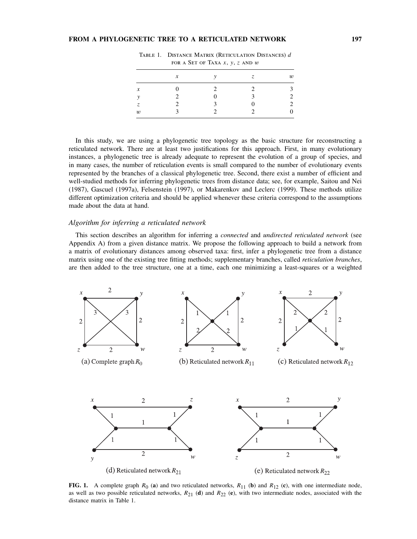|   | $\sum_{i=1}^n \sum_{i=1}^n \sum_{i=1}^n \sum_{i=1}^n \sum_{i=1}^n \sum_{i=1}^n \sum_{i=1}^n \sum_{i=1}^n \sum_{i=1}^n \sum_{i=1}^n \sum_{i=1}^n \sum_{i=1}^n \sum_{i=1}^n \sum_{i=1}^n \sum_{i=1}^n \sum_{i=1}^n \sum_{i=1}^n \sum_{i=1}^n \sum_{i=1}^n \sum_{i=1}^n \sum_{i=1}^n \sum_{i=1}^n \sum_{i=1}^n \sum_{i=1}^n \sum_{i$ |  |  |                  |  |  |  |  |
|---|-----------------------------------------------------------------------------------------------------------------------------------------------------------------------------------------------------------------------------------------------------------------------------------------------------------------------------------|--|--|------------------|--|--|--|--|
|   | $\mathcal{X}$                                                                                                                                                                                                                                                                                                                     |  |  | $\boldsymbol{w}$ |  |  |  |  |
|   |                                                                                                                                                                                                                                                                                                                                   |  |  |                  |  |  |  |  |
|   |                                                                                                                                                                                                                                                                                                                                   |  |  |                  |  |  |  |  |
| 7 |                                                                                                                                                                                                                                                                                                                                   |  |  |                  |  |  |  |  |
| w |                                                                                                                                                                                                                                                                                                                                   |  |  |                  |  |  |  |  |
|   |                                                                                                                                                                                                                                                                                                                                   |  |  |                  |  |  |  |  |

TABLE 1. DISTANCE MATRIX (RETICULATION DISTANCES) d FOR A SET OF TAXA  $x, y, z$  and w

In this study, we are using a phylogenetic tree topology as the basic structure for reconstructing a reticulated network. There are at least two justifications for this approach. First, in many evolutionary instances, a phylogenetic tree is already adequate to represent the evolution of a group of species, and in many cases, the number of reticulation events is small compared to the number of evolutionary events represented by the branches of a classical phylogenetic tree. Second, there exist a number of efficient and well-studied methods for inferring phylogenetic trees from distance data; see, for example, Saitou and Nei (1987), Gascuel (1997a), Felsenstein (1997), or Makarenkov and Leclerc (1999). These methods utilize different optimization criteria and should be applied whenever these criteria correspond to the assumptions made about the data at hand.

### *Algorithm for inferring a reticulated network*

This section describes an algorithm for inferring a *connected* and *undirected reticulated network* (see Appendix A) from a given distance matrix. We propose the following approach to build a network from a matrix of evolutionary distances among observed taxa: first, infer a phylogenetic tree from a distance matrix using one of the existing tree fitting methods; supplementary branches, called *reticulation branches*, are then added to the tree structure, one at a time, each one minimizing a least-squares or a weighted



**FIG. 1.** A complete graph  $R_0$  (a) and two reticulated networks,  $R_{11}$  (b) and  $R_{12}$  (c), with one intermediate node, as well as two possible reticulated networks, R21 (**d**) and R22 (**e**), with two intermediate nodes, associated with the distance matrix in Table 1.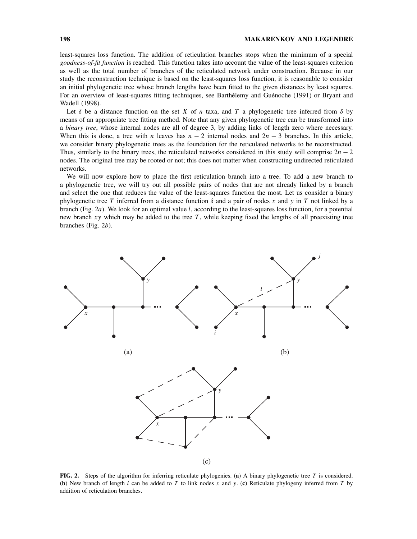least-squares loss function. The addition of reticulation branches stops when the minimum of a special *goodness-of-fit function* is reached. This function takes into account the value of the least-squares criterion as well as the total number of branches of the reticulated network under construction. Because in our study the reconstruction technique is based on the least-squares loss function, it is reasonable to consider an initial phylogenetic tree whose branch lengths have been fitted to the given distances by least squares. For an overview of least-squares fitting techniques, see Barthélemy and Guénoche (1991) or Bryant and Wadell (1998).

Let  $\delta$  be a distance function on the set X of n taxa, and T a phylogenetic tree inferred from  $\delta$  by means of an appropriate tree fitting method. Note that any given phylogenetic tree can be transformed into a *binary tree*, whose internal nodes are all of degree 3, by adding links of length zero where necessary. When this is done, a tree with n leaves has  $n - 2$  internal nodes and  $2n - 3$  branches. In this article, we consider binary phylogenetic trees as the foundation for the reticulated networks to be reconstructed. Thus, similarly to the binary trees, the reticulated networks considered in this study will comprise  $2n - 2$ nodes. The original tree may be rooted or not; this does not matter when constructing undirected reticulated networks.

We will now explore how to place the first reticulation branch into a tree. To add a new branch to a phylogenetic tree, we will try out all possible pairs of nodes that are not already linked by a branch and select the one that reduces the value of the least-squares function the most. Let us consider a binary phylogenetic tree T inferred from a distance function  $\delta$  and a pair of nodes x and y in T not linked by a branch (Fig.  $2a$ ). We look for an optimal value l, according to the least-squares loss function, for a potential new branch  $xy$  which may be added to the tree  $T$ , while keeping fixed the lengths of all preexisting tree branches (Fig. 2b).



**FIG. 2.** Steps of the algorithm for inferring reticulate phylogenies. (a) A binary phylogenetic tree T is considered. (**b**) New branch of length l can be added to T to link nodes x and y. (**c**) Reticulate phylogeny inferred from T by addition of reticulation branches.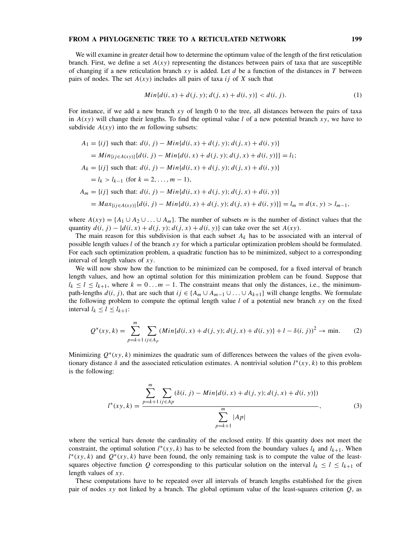#### **FROM A PHYLOGENETIC TREE TO A RETICULATED NETWORK 199**

We will examine in greater detail how to determine the optimum value of the length of the first reticulation branch. First, we define a set  $A(xy)$  representing the distances between pairs of taxa that are susceptible of changing if a new reticulation branch  $xy$  is added. Let  $d$  be a function of the distances in  $T$  between pairs of nodes. The set  $A(xy)$  includes all pairs of taxa ij of X such that

$$
Min{d(i, x) + d(j, y); d(j, x) + d(i, y)} < d(i, j).
$$
\n(1)

For instance, if we add a new branch xy of length 0 to the tree, all distances between the pairs of taxa in  $A(xy)$  will change their lengths. To find the optimal value l of a new potential branch xy, we have to subdivide  $A(xy)$  into the *m* following subsets:

$$
A_1 = \{ij\} \text{ such that: } d(i, j) - Min\{d(i, x) + d(j, y); d(j, x) + d(i, y)\}
$$
  
\n
$$
= Min_{\{ij \in A(xy)\}} \{d(i, j) - Min\{d(i, x) + d(j, y); d(j, x) + d(i, y)\}\} = l_1;
$$
  
\n
$$
A_k = \{ij\} \text{ such that: } d(i, j) - Min\{d(i, x) + d(j, y); d(j, x) + d(i, y)\}
$$
  
\n
$$
= l_k > l_{k-1} \text{ (for } k = 2, ..., m - 1),
$$
  
\n
$$
A_m = \{ij\} \text{ such that: } d(i, j) - Min\{d(i, x) + d(j, y); d(j, x) + d(i, y)\}
$$
  
\n
$$
= Max_{\{ij \in A(xy)\}} \{d(i, j) - Min\{d(i, x) + d(j, y); d(j, x) + d(i, y)\}\} = l_m = d(x, y) > l_{m-1},
$$

where  $A(xy) = \{A_1 \cup A_2 \cup \ldots \cup A_m\}$ . The number of subsets m is the number of distinct values that the quantity  $d(i, j) - {d(i, x) + d(j, y); d(j, x) + d(i, y)}$  can take over the set  $A(xy)$ .

The main reason for this subdivision is that each subset  $A_k$  has to be associated with an interval of possible length values  $l$  of the branch  $xy$  for which a particular optimization problem should be formulated. For each such optimization problem, a quadratic function has to be minimized, subject to a corresponding interval of length values of  $xy$ .

We will now show how the function to be minimized can be composed, for a fixed interval of branch length values, and how an optimal solution for this minimization problem can be found. Suppose that  $l_k \le l \le l_{k+1}$ , where  $k = 0...m - 1$ . The constraint means that only the distances, i.e., the minimumpath-lengths  $d(i, j)$ , that are such that  $ij \in \{A_m \cup A_{m-1} \cup ... \cup A_{k+1}\}\$  will change lengths. We formulate the following problem to compute the optimal length value  $l$  of a potential new branch  $xy$  on the fixed interval  $l_k \leq l \leq l_{k+1}$ :

$$
Q^*(xy,k) = \sum_{p=k+1}^{m} \sum_{ij \in A_p} (Min\{d(i,x) + d(j,y); d(j,x) + d(i,y)\} + l - \delta(i,j))^2 \to \min. \tag{2}
$$

Minimizing  $Q^*(xy, k)$  minimizes the quadratic sum of differences between the values of the given evolutionary distance  $\delta$  and the associated reticulation estimates. A nontrivial solution  $l^*(xy, k)$  to this problem is the following:

$$
l^*(xy, k) = \frac{\sum_{p=k+1}^{m} \sum_{ij \in Ap} (\delta(i, j) - Min\{d(i, x) + d(j, y); d(j, x) + d(i, y)\})}{\sum_{p=k+1}^{m} |Ap|},
$$
(3)

where the vertical bars denote the cardinality of the enclosed entity. If this quantity does not meet the constraint, the optimal solution  $l^*(xy, k)$  has to be selected from the boundary values  $l_k$  and  $l_{k+1}$ . When  $l^*(xy, k)$  and  $Q^*(xy, k)$  have been found, the only remaining task is to compute the value of the leastsquares objective function Q corresponding to this particular solution on the interval  $l_k \le l \le l_{k+1}$  of length values of  $xy$ .

These computations have to be repeated over all intervals of branch lengths established for the given pair of nodes  $xy$  not linked by a branch. The global optimum value of the least-squares criterion  $Q$ , as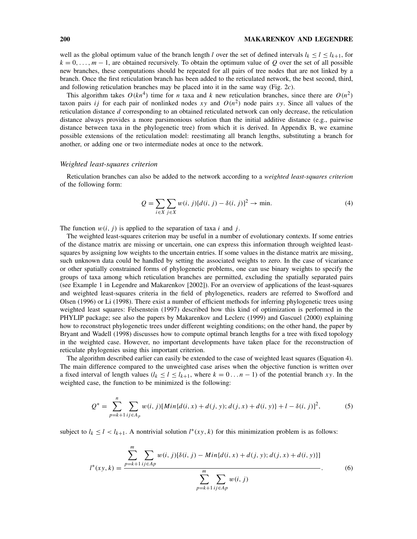well as the global optimum value of the branch length l over the set of defined intervals  $l_k \le l \le l_{k+1}$ , for  $k = 0, \ldots, m - 1$ , are obtained recursively. To obtain the optimum value of Q over the set of all possible new branches, these computations should be repeated for all pairs of tree nodes that are not linked by a branch. Once the first reticulation branch has been added to the reticulated network, the best second, third, and following reticulation branches may be placed into it in the same way (Fig. 2c).

This algorithm takes  $O(kn^4)$  time for *n* taxa and *k* new reticulation branches, since there are  $O(n^2)$ taxon pairs ij for each pair of nonlinked nodes xy and  $O(n^2)$  node pairs xy. Since all values of the reticulation distance d corresponding to an obtained reticulated network can only decrease, the reticulation distance always provides a more parsimonious solution than the initial additive distance (e.g., pairwise distance between taxa in the phylogenetic tree) from which it is derived. In Appendix B, we examine possible extensions of the reticulation model: reestimating all branch lengths, substituting a branch for another, or adding one or two intermediate nodes at once to the network.

## *Weighted least-squares criterion*

Reticulation branches can also be added to the network according to a *weighted least-squares criterion* of the following form:

$$
Q = \sum_{i \in X} \sum_{j \in X} w(i, j) [d(i, j) - \delta(i, j)]^2 \to \text{min.}
$$
 (4)

The function  $w(i, j)$  is applied to the separation of taxa i and j.

The weighted least-squares criterion may be useful in a number of evolutionary contexts. If some entries of the distance matrix are missing or uncertain, one can express this information through weighted leastsquares by assigning low weights to the uncertain entries. If some values in the distance matrix are missing, such unknown data could be handled by setting the associated weights to zero. In the case of vicariance or other spatially constrained forms of phylogenetic problems, one can use binary weights to specify the groups of taxa among which reticulation branches are permitted, excluding the spatially separated pairs (see Example 1 in Legendre and Makarenkov [2002]). For an overview of applications of the least-squares and weighted least-squares criteria in the field of phylogenetics, readers are referred to Swofford and Olsen (1996) or Li (1998). There exist a number of efficient methods for inferring phylogenetic trees using weighted least squares: Felsenstein (1997) described how this kind of optimization is performed in the PHYLIP package; see also the papers by Makarenkov and Leclerc (1999) and Gascuel (2000) explaining how to reconstruct phylogenetic trees under different weighting conditions; on the other hand, the paper by Bryant and Wadell (1998) discusses how to compute optimal branch lengths for a tree with fixed topology in the weighted case. However, no important developments have taken place for the reconstruction of reticulate phylogenies using this important criterion.

The algorithm described earlier can easily be extended to the case of weighted least squares (Equation 4). The main difference compared to the unweighted case arises when the objective function is written over a fixed interval of length values ( $l_k \le l \le l_{k+1}$ , where  $k = 0 \dots n - 1$ ) of the potential branch xy. In the weighted case, the function to be minimized is the following:

$$
Q^* = \sum_{p=k+1}^n \sum_{ij \in A_p} w(i, j) [Min\{d(i, x) + d(j, y); d(j, x) + d(i, y)\} + l - \delta(i, j)]^2,
$$
\n(5)

subject to  $l_k \leq l \leq l_{k+1}$ . A nontrivial solution  $l^*(xy, k)$  for this minimization problem is as follows:

$$
l^*(xy, k) = \frac{\sum_{p=k+1 \, ij \in Ap}^{m} w(i, j)[\delta(i, j) - Min\{d(i, x) + d(j, y); d(j, x) + d(i, y)\}]}{\sum_{p=k+1 \, ij \in Ap}^{m} w(i, j)}.
$$
 (6)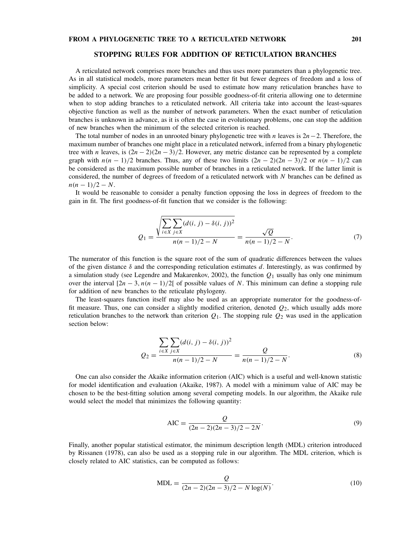# **STOPPING RULES FOR ADDITION OF RETICULATION BRANCHES**

A reticulated network comprises more branches and thus uses more parameters than a phylogenetic tree. As in all statistical models, more parameters mean better fit but fewer degrees of freedom and a loss of simplicity. A special cost criterion should be used to estimate how many reticulation branches have to be added to a network. We are proposing four possible goodness-of-fit criteria allowing one to determine when to stop adding branches to a reticulated network. All criteria take into account the least-squares objective function as well as the number of network parameters. When the exact number of reticulation branches is unknown in advance, as it is often the case in evolutionary problems, one can stop the addition of new branches when the minimum of the selected criterion is reached.

The total number of nodes in an unrooted binary phylogenetic tree with n leaves is  $2n-2$ . Therefore, the maximum number of branches one might place in a reticulated network, inferred from a binary phylogenetic tree with n leaves, is  $(2n-2)(2n-3)/2$ . However, any metric distance can be represented by a complete graph with  $n(n - 1)/2$  branches. Thus, any of these two limits  $(2n - 2)(2n - 3)/2$  or  $n(n - 1)/2$  can be considered as the maximum possible number of branches in a reticulated network. If the latter limit is considered, the number of degrees of freedom of a reticulated network with N branches can be defined as  $n(n-1)/2 - N$ .

It would be reasonable to consider a penalty function opposing the loss in degrees of freedom to the gain in fit. The first goodness-of-fit function that we consider is the following:

$$
Q_1 = \frac{\sqrt{\sum_{i \in X} \sum_{j \in X} (d(i, j) - \delta(i, j))^2}}{n(n-1)/2 - N} = \frac{\sqrt{Q}}{n(n-1)/2 - N}.
$$
 (7)

The numerator of this function is the square root of the sum of quadratic differences between the values of the given distance  $\delta$  and the corresponding reticulation estimates d. Interestingly, as was confirmed by a simulation study (see Legendre and Makarenkov, 2002), the function  $Q_1$  usually has only one minimum over the interval  $[2n-3, n(n-1)/2]$  of possible values of N. This minimum can define a stopping rule for addition of new branches to the reticulate phylogeny.

The least-squares function itself may also be used as an appropriate numerator for the goodness-offit measure. Thus, one can consider a slightly modified criterion, denoted  $Q_2$ , which usually adds more reticulation branches to the network than criterion  $Q_1$ . The stopping rule  $Q_2$  was used in the application section below:

$$
Q_2 = \frac{\sum_{i \in X} \sum_{j \in X} (d(i, j) - \delta(i, j))^2}{n(n - 1)/2 - N} = \frac{Q}{n(n - 1)/2 - N}.
$$
 (8)

One can also consider the Akaike information criterion (AIC) which is a useful and well-known statistic for model identification and evaluation (Akaike, 1987). A model with a minimum value of AIC may be chosen to be the best-fitting solution among several competing models. In our algorithm, the Akaike rule would select the model that minimizes the following quantity:

$$
AIC = \frac{Q}{(2n-2)(2n-3)/2 - 2N}.
$$
\n(9)

Finally, another popular statistical estimator, the minimum description length (MDL) criterion introduced by Rissanen (1978), can also be used as a stopping rule in our algorithm. The MDL criterion, which is closely related to AIC statistics, can be computed as follows:

$$
MDL = \frac{Q}{(2n-2)(2n-3)/2 - N \log(N)}.
$$
\n(10)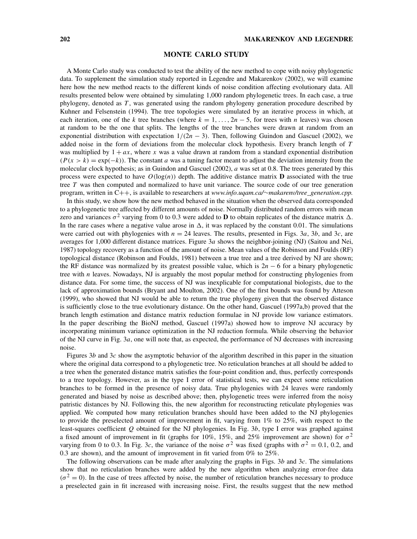#### **MONTE CARLO STUDY**

A Monte Carlo study was conducted to test the ability of the new method to cope with noisy phylogenetic data. To supplement the simulation study reported in Legendre and Makarenkov (2002), we will examine here how the new method reacts to the different kinds of noise condition affecting evolutionary data. All results presented below were obtained by simulating 1,000 random phylogenetic trees. In each case, a true phylogeny, denoted as T , was generated using the random phylogeny generation procedure described by Kuhner and Felsenstein (1994). The tree topologies were simulated by an iterative process in which, at each iteration, one of the k tree branches (where  $k = 1, \ldots, 2n - 5$ , for trees with n leaves) was chosen at random to be the one that splits. The lengths of the tree branches were drawn at random from an exponential distribution with expectation  $1/(2n - 3)$ . Then, following Guindon and Gascuel (2002), we added noise in the form of deviations from the molecular clock hypothesis. Every branch length of T was multiplied by  $1 + ax$ , where x was a value drawn at random from a standard exponential distribution  $(P(x > k) = \exp(-k))$ . The constant a was a tuning factor meant to adjust the deviation intensity from the molecular clock hypothesis; as in Guindon and Gascuel (2002),  $a$  was set at 0.8. The trees generated by this process were expected to have  $O(log(n))$  depth. The additive distance matrix **D** associated with the true tree T was then computed and normalized to have unit variance. The source code of our tree generation program, written in C++, is available to researchers at *www.info.uqam.ca/*∼*makarenv/tree\_generation.cpp.*

In this study, we show how the new method behaved in the situation when the observed data corresponded to a phylogenetic tree affected by different amounts of noise. Normally distributed random errors with mean zero and variances  $\sigma^2$  varying from 0 to 0.3 were added to **D** to obtain replicates of the distance matrix  $\Delta$ . In the rare cases where a negative value arose in  $\Delta$ , it was replaced by the constant 0.01. The simulations were carried out with phylogenies with  $n = 24$  leaves. The results, presented in Figs. 3a, 3b, and 3c, are averages for 1,000 different distance matrices. Figure 3a shows the neighbor-joining (NJ) (Saitou and Nei, 1987) topology recovery as a function of the amount of noise. Mean values of the Robinson and Foulds (RF) topological distance (Robinson and Foulds, 1981) between a true tree and a tree derived by NJ are shown; the RF distance was normalized by its greatest possible value, which is  $2n - 6$  for a binary phylogenetic tree with  $n$  leaves. Nowadays, NJ is arguably the most popular method for constructing phylogenies from distance data. For some time, the success of NJ was inexplicable for computational biologists, due to the lack of approximation bounds (Bryant and Moulton, 2002). One of the first bounds was found by Atteson (1999), who showed that NJ would be able to return the true phylogeny given that the observed distance is sufficiently close to the true evolutionary distance. On the other hand, Gascuel (1997a,b) proved that the branch length estimation and distance matrix reduction formulae in NJ provide low variance estimators. In the paper describing the BioNJ method, Gascuel (1997a) showed how to improve NJ accuracy by incorporating minimum variance optimization in the NJ reduction formula. While observing the behavior of the NJ curve in Fig. 3a, one will note that, as expected, the performance of NJ decreases with increasing noise.

Figures 3b and 3c show the asymptotic behavior of the algorithm described in this paper in the situation where the original data correspond to a phylogenetic tree. No reticulation branches at all should be added to a tree when the generated distance matrix satisfies the four-point condition and, thus, perfectly corresponds to a tree topology. However, as in the type I error of statistical tests, we can expect some reticulation branches to be formed in the presence of noisy data. True phylogenies with 24 leaves were randomly generated and biased by noise as described above; then, phylogenetic trees were inferred from the noisy patristic distances by NJ. Following this, the new algorithm for reconstructing reticulate phylogenies was applied. We computed how many reticulation branches should have been added to the NJ phylogenies to provide the preselected amount of improvement in fit, varying from 1% to 25%, with respect to the least-squares coefficient  $Q$  obtained for the NJ phylogenies. In Fig. 3b, type I error was graphed against a fixed amount of improvement in fit (graphs for 10%, 15%, and 25% improvement are shown) for  $\sigma^2$ varying from 0 to 0.3. In Fig. 3c, the variance of the noise  $\sigma^2$  was fixed (graphs with  $\sigma^2 = 0.1$ , 0.2, and 0.3 are shown), and the amount of improvement in fit varied from 0% to 25%.

The following observations can be made after analyzing the graphs in Figs. 3b and  $3c$ . The simulations show that no reticulation branches were added by the new algorithm when analyzing error-free data  $(\sigma^2 = 0)$ . In the case of trees affected by noise, the number of reticulation branches necessary to produce a preselected gain in fit increased with increasing noise. First, the results suggest that the new method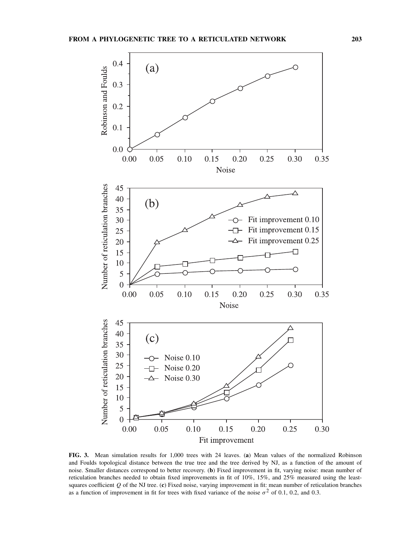

**FIG. 3.** Mean simulation results for 1,000 trees with 24 leaves. (**a**) Mean values of the normalized Robinson and Foulds topological distance between the true tree and the tree derived by NJ, as a function of the amount of noise. Smaller distances correspond to better recovery. (**b**) Fixed improvement in fit, varying noise: mean number of reticulation branches needed to obtain fixed improvements in fit of 10%, 15%, and 25% measured using the leastsquares coefficient Q of the NJ tree. (**c**) Fixed noise, varying improvement in fit: mean number of reticulation branches as a function of improvement in fit for trees with fixed variance of the noise  $\sigma^2$  of 0.1, 0.2, and 0.3.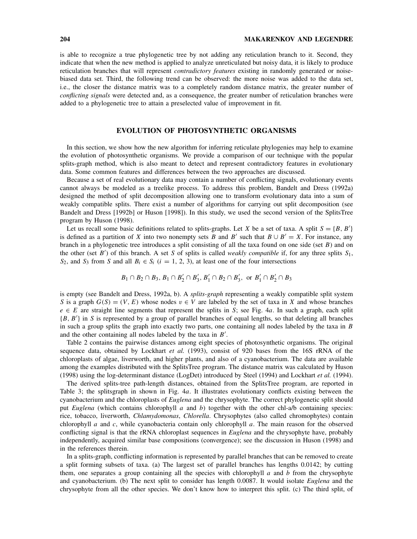is able to recognize a true phylogenetic tree by not adding any reticulation branch to it. Second, they indicate that when the new method is applied to analyze unreticulated but noisy data, it is likely to produce reticulation branches that will represent *contradictory features* existing in randomly generated or noisebiased data set. Third, the following trend can be observed: the more noise was added to the data set, i.e., the closer the distance matrix was to a completely random distance matrix, the greater number of *conflicting signals* were detected and, as a consequence, the greater number of reticulation branches were added to a phylogenetic tree to attain a preselected value of improvement in fit.

# **EVOLUTION OF PHOTOSYNTHETIC ORGANISMS**

In this section, we show how the new algorithm for inferring reticulate phylogenies may help to examine the evolution of photosynthetic organisms. We provide a comparison of our technique with the popular splits-graph method, which is also meant to detect and represent contradictory features in evolutionary data. Some common features and differences between the two approaches are discussed.

Because a set of real evolutionary data may contain a number of conflicting signals, evolutionary events cannot always be modeled as a treelike process. To address this problem, Bandelt and Dress (1992a) designed the method of split decomposition allowing one to transform evolutionary data into a sum of weakly compatible splits. There exist a number of algorithms for carrying out split decomposition (see Bandelt and Dress [1992b] or Huson [1998]). In this study, we used the second version of the SplitsTree program by Huson (1998).

Let us recall some basic definitions related to splits-graphs. Let X be a set of taxa. A split  $S = \{B, B'\}$ is defined as a partition of X into two nonempty sets B and B' such that  $B \cup B' = X$ . For instance, any branch in a phylogenetic tree introduces a split consisting of all the taxa found on one side (set  $B$ ) and on the other (set  $B'$ ) of this branch. A set S of splits is called *weakly compatible* if, for any three splits  $S_1$ , S<sub>2</sub>, and S<sub>3</sub> from S and all  $B_i \in S_i$  (i = 1, 2, 3), at least one of the four intersections

$$
B_1 \cap B_2 \cap B_3
$$
,  $B_1 \cap B_2' \cap B_3'$ ,  $B_1' \cap B_2 \cap B_3'$ , or  $B_1' \cap B_2' \cap B_3$ 

is empty (see Bandelt and Dress, 1992a, b). A *splits-graph* representing a weakly compatible split system S is a graph  $G(S) = (V, E)$  whose nodes  $v \in V$  are labeled by the set of taxa in X and whose branches  $e \in E$  are straight line segments that represent the splits in S; see Fig. 4a. In such a graph, each split {B,B } in S is represented by a group of parallel branches of equal lengths, so that deleting all branches in such a group splits the graph into exactly two parts, one containing all nodes labeled by the taxa in  $B$ and the other containing all nodes labeled by the taxa in  $B'$ .

Table 2 contains the pairwise distances among eight species of photosynthetic organisms. The original sequence data, obtained by Lockhart *et al.* (1993), consist of 920 bases from the 16S rRNA of the chloroplasts of algae, liverworth, and higher plants, and also of a cyanobacterium. The data are available among the examples distributed with the SplitsTree program. The distance matrix was calculated by Huson (1998) using the log-determinant distance (LogDet) introduced by Steel (1994) and Lockhart *et al.* (1994).

The derived splits-tree path-length distances, obtained from the SplitsTree program, are reported in Table 3; the splitsgraph in shown in Fig. 4a. It illustrates evolutionary conflicts existing between the cyanobacterium and the chloroplasts of *Euglena* and the chrysophyte. The correct phylogenetic split should put *Euglena* (which contains chlorophyll *a* and *b*) together with the other chl-a/b containing species: rice, tobacco, liverworth, *Chlamydomonas*, *Chlorella*. Chrysophytes (also called chromophytes) contain chlorophyll  $a$  and  $c$ , while cyanobacteria contain only chlorophyll  $a$ . The main reason for the observed conflicting signal is that the rRNA chloroplast sequences in *Euglena* and the chrysophyte have, probably independently, acquired similar base compositions (convergence); see the discussion in Huson (1998) and in the references therein.

In a splits-graph, conflicting information is represented by parallel branches that can be removed to create a split forming subsets of taxa. (a) The largest set of parallel branches has lengths 0.0142; by cutting them, one separates a group containing all the species with chlorophyll  $a$  and  $b$  from the chrysophyte and cyanobacterium. (b) The next split to consider has length 0.0087. It would isolate *Euglena* and the chrysophyte from all the other species. We don't know how to interpret this split. (c) The third split, of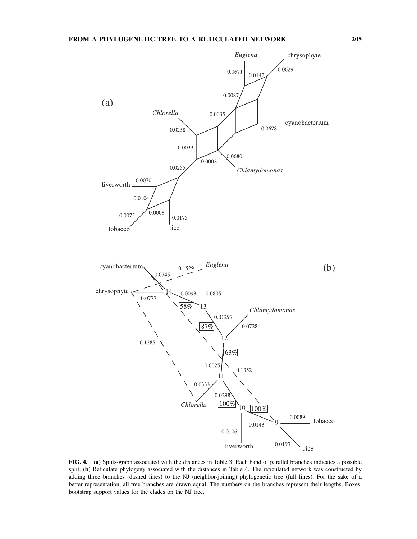

**FIG. 4.** (**a**) Splits-graph associated with the distances in Table 3. Each band of parallel branches indicates a possible split. (**b**) Reticulate phylogeny associated with the distances in Table 4. The reticulated network was constructed by adding three branches (dashed lines) to the NJ (neighbor-joining) phylogenetic tree (full lines). For the sake of a better representation, all tree branches are drawn equal. The numbers on the branches represent their lengths. Boxes: bootstrap support values for the clades on the NJ tree.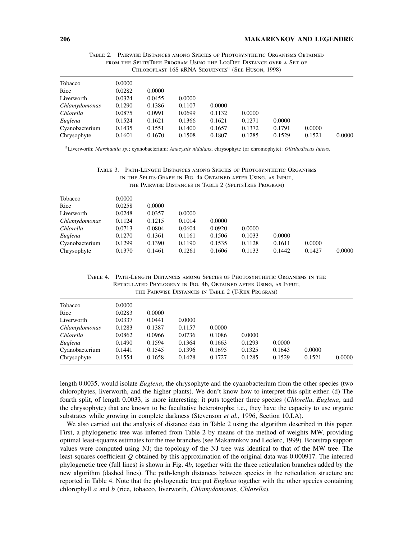| CHLOROPLAST 16S RRNA SEQUENCES <sup>a</sup> (SEE HUSON, 1998) |        |        |        |        |        |        |        |        |
|---------------------------------------------------------------|--------|--------|--------|--------|--------|--------|--------|--------|
| Tobacco                                                       | 0.0000 |        |        |        |        |        |        |        |
| Rice                                                          | 0.0282 | 0.0000 |        |        |        |        |        |        |
| Liverworth                                                    | 0.0324 | 0.0455 | 0.0000 |        |        |        |        |        |
| Chlamydomonas                                                 | 0.1290 | 0.1386 | 0.1107 | 0.0000 |        |        |        |        |
| Chlorella                                                     | 0.0875 | 0.0991 | 0.0699 | 0.1132 | 0.0000 |        |        |        |
| Euglena                                                       | 0.1524 | 0.1621 | 0.1366 | 0.1621 | 0.1271 | 0.0000 |        |        |
| Cyanobacterium                                                | 0.1435 | 0.1551 | 0.1400 | 0.1657 | 0.1372 | 0.1791 | 0.0000 |        |
| Chrysophyte                                                   | 0.1601 | 0.1670 | 0.1508 | 0.1807 | 0.1285 | 0.1529 | 0.1521 | 0.0000 |

Table 2. Pairwise Distances among Species of Photosynthetic Organisms Obtained from the SplitsTree Program Using the LogDet Distance over a Set of

aLiverworth: *Marchantia sp.*; cyanobacterium: *Anacystis nidulans*; chrysophyte (or chromophyte): *Olisthodiscus luteus*.

Table 3. Path-Length Distances among Species of Photosynthetic Organisms in the Splits-Graph in Fig. 4a Obtained after Using, as Input, the Pairwise Distances in Table 2 (SplitsTree Program)

| Tobacco        | 0.0000 |        |        |        |        |        |        |        |
|----------------|--------|--------|--------|--------|--------|--------|--------|--------|
| Rice           | 0.0258 | 0.0000 |        |        |        |        |        |        |
| Liverworth     | 0.0248 | 0.0357 | 0.0000 |        |        |        |        |        |
| Chlamydomonas  | 0.1124 | 0.1215 | 0.1014 | 0.0000 |        |        |        |        |
| Chlorella      | 0.0713 | 0.0804 | 0.0604 | 0.0920 | 0.0000 |        |        |        |
| Euglena        | 0.1270 | 0.1361 | 0.1161 | 0.1506 | 0.1033 | 0.0000 |        |        |
| Cyanobacterium | 0.1299 | 0.1390 | 0.1190 | 0.1535 | 0.1128 | 0.1611 | 0.0000 |        |
| Chrysophyte    | 0.1370 | 0.1461 | 0.1261 | 0.1606 | 0.1133 | 0.1442 | 0.1427 | 0.0000 |

Table 4. Path-Length Distances among Species of Photosynthetic Organisms in the Reticulated Phylogeny in Fig. 4b, Obtained after Using, as Input, the Pairwise Distances in Table 2 (T-Rex Program)

| Tobacco        | 0.0000 |        |        |        |        |        |        |        |
|----------------|--------|--------|--------|--------|--------|--------|--------|--------|
| Rice           | 0.0283 | 0.0000 |        |        |        |        |        |        |
| Liverworth     | 0.0337 | 0.0441 | 0.0000 |        |        |        |        |        |
| Chlamydomonas  | 0.1283 | 0.1387 | 0.1157 | 0.0000 |        |        |        |        |
| Chlorella      | 0.0862 | 0.0966 | 0.0736 | 0.1086 | 0.0000 |        |        |        |
| Euglena        | 0.1490 | 0.1594 | 0.1364 | 0.1663 | 0.1293 | 0.0000 |        |        |
| Cyanobacterium | 0.1441 | 0.1545 | 0.1396 | 0.1695 | 0.1325 | 0.1643 | 0.0000 |        |
| Chrysophyte    | 0.1554 | 0.1658 | 0.1428 | 0.1727 | 0.1285 | 0.1529 | 0.1521 | 0.0000 |
|                |        |        |        |        |        |        |        |        |

length 0.0035, would isolate *Euglena*, the chrysophyte and the cyanobacterium from the other species (two chlorophytes, liverworth, and the higher plants). We don't know how to interpret this split either. (d) The fourth split, of length 0.0033, is more interesting: it puts together three species (*Chlorella*, *Euglena*, and the chrysophyte) that are known to be facultative heterotrophs; i.e., they have the capacity to use organic substrates while growing in complete darkness (Stevenson *et al.*, 1996, Section 10.I.A).

We also carried out the analysis of distance data in Table 2 using the algorithm described in this paper. First, a phylogenetic tree was inferred from Table 2 by means of the method of weights MW, providing optimal least-squares estimates for the tree branches (see Makarenkov and Leclerc, 1999). Bootstrap support values were computed using NJ; the topology of the NJ tree was identical to that of the MW tree. The least-squares coefficient Q obtained by this approximation of the original data was 0.000917. The inferred phylogenetic tree (full lines) is shown in Fig. 4b, together with the three reticulation branches added by the new algorithm (dashed lines). The path-length distances between species in the reticulation structure are reported in Table 4. Note that the phylogenetic tree put *Euglena* together with the other species containing chlorophyll a and b (rice, tobacco, liverworth, *Chlamydomonas*, *Chlorella*).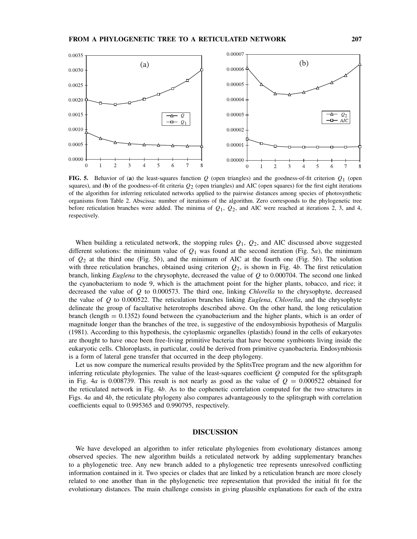

**FIG. 5.** Behavior of (a) the least-squares function  $Q$  (open triangles) and the goodness-of-fit criterion  $Q_1$  (open squares), and (**b**) of the goodness-of-fit criteria  $Q_2$  (open triangles) and AIC (open squares) for the first eight iterations of the algorithm for inferring reticulated networks applied to the pairwise distances among species of photosynthetic organisms from Table 2. Abscissa: number of iterations of the algorithm. Zero corresponds to the phylogenetic tree before reticulation branches were added. The minima of  $Q_1$ ,  $Q_2$ , and AIC were reached at iterations 2, 3, and 4, respectively.

When building a reticulated network, the stopping rules  $Q_1$ ,  $Q_2$ , and AIC discussed above suggested different solutions: the minimum value of  $Q_1$  was found at the second iteration (Fig. 5a), the minimum of  $Q_2$  at the third one (Fig. 5b), and the minimum of AIC at the fourth one (Fig. 5b). The solution with three reticulation branches, obtained using criterion  $Q_2$ , is shown in Fig. 4b. The first reticulation branch, linking *Euglena* to the chrysophyte, decreased the value of Q to 0.000704. The second one linked the cyanobacterium to node 9, which is the attachment point for the higher plants, tobacco, and rice; it decreased the value of Q to 0.000573. The third one, linking *Chlorella* to the chrysophyte, decreased the value of Q to 0.000522. The reticulation branches linking *Euglena*, *Chlorella*, and the chrysophyte delineate the group of facultative heterotrophs described above. On the other hand, the long reticulation branch (length  $= 0.1352$ ) found between the cyanobacterium and the higher plants, which is an order of magnitude longer than the branches of the tree, is suggestive of the endosymbiosis hypothesis of Margulis (1981). According to this hypothesis, the cytoplasmic organelles (plastids) found in the cells of eukaryotes are thought to have once been free-living primitive bacteria that have become symbionts living inside the eukaryotic cells. Chloroplasts, in particular, could be derived from primitive cyanobacteria. Endosymbiosis is a form of lateral gene transfer that occurred in the deep phylogeny.

Let us now compare the numerical results provided by the SplitsTree program and the new algorithm for inferring reticulate phylogenies. The value of the least-squares coefficient  $Q$  computed for the splitsgraph in Fig. 4a is 0.008739. This result is not nearly as good as the value of  $Q = 0.000522$  obtained for the reticulated network in Fig. 4b. As to the cophenetic correlation computed for the two structures in Figs. 4a and 4b, the reticulate phylogeny also compares advantageously to the splitsgraph with correlation coefficients equal to 0.995365 and 0.990795, respectively.

# **DISCUSSION**

We have developed an algorithm to infer reticulate phylogenies from evolutionary distances among observed species. The new algorithm builds a reticulated network by adding supplementary branches to a phylogenetic tree. Any new branch added to a phylogenetic tree represents unresolved conflicting information contained in it. Two species or clades that are linked by a reticulation branch are more closely related to one another than in the phylogenetic tree representation that provided the initial fit for the evolutionary distances. The main challenge consists in giving plausible explanations for each of the extra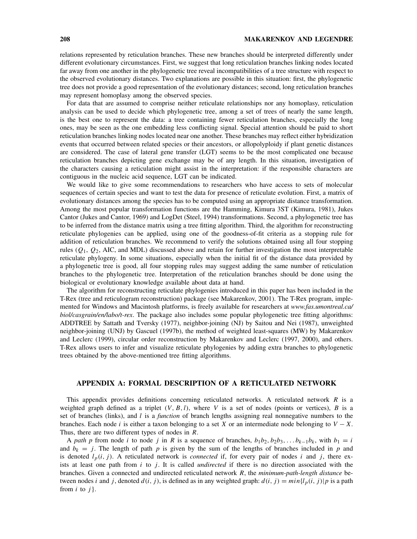relations represented by reticulation branches. These new branches should be interpreted differently under different evolutionary circumstances. First, we suggest that long reticulation branches linking nodes located far away from one another in the phylogenetic tree reveal incompatibilities of a tree structure with respect to the observed evolutionary distances. Two explanations are possible in this situation: first, the phylogenetic tree does not provide a good representation of the evolutionary distances; second, long reticulation branches may represent homoplasy among the observed species.

For data that are assumed to comprise neither reticulate relationships nor any homoplasy, reticulation analysis can be used to decide which phylogenetic tree, among a set of trees of nearly the same length, is the best one to represent the data: a tree containing fewer reticulation branches, especially the long ones, may be seen as the one embedding less conflicting signal. Special attention should be paid to short reticulation branches linking nodes located near one another. These branches may reflect either hybridization events that occurred between related species or their ancestors, or allopolyploidy if plant genetic distances are considered. The case of lateral gene transfer (LGT) seems to be the most complicated one because reticulation branches depicting gene exchange may be of any length. In this situation, investigation of the characters causing a reticulation might assist in the interpretation: if the responsible characters are contiguous in the nucleic acid sequence, LGT can be indicated.

We would like to give some recommendations to researchers who have access to sets of molecular sequences of certain species and want to test the data for presence of reticulate evolution. First, a matrix of evolutionary distances among the species has to be computed using an appropriate distance transformation. Among the most popular transformation functions are the Hamming, Kimura 3ST (Kimura, 1981), Jukes Cantor (Jukes and Cantor, 1969) and LogDet (Steel, 1994) transformations. Second, a phylogenetic tree has to be inferred from the distance matrix using a tree fitting algorithm. Third, the algorithm for reconstructing reticulate phylogenies can be applied, using one of the goodness-of-fit criteria as a stopping rule for addition of reticulation branches. We recommend to verify the solutions obtained using all four stopping rules ( $Q_1$ ,  $Q_2$ , AIC, and MDL) discussed above and retain for further investigation the most interpretable reticulate phylogeny. In some situations, especially when the initial fit of the distance data provided by a phylogenetic tree is good, all four stopping rules may suggest adding the same number of reticulation branches to the phylogenetic tree. Interpretation of the reticulation branches should be done using the biological or evolutionary knowledge available about data at hand.

The algorithm for reconstructing reticulate phylogenies introduced in this paper has been included in the T-Rex (tree and reticulogram reconstruction) package (see Makarenkov, 2001). The T-Rex program, implemented for Windows and Macintosh platforms, is freely available for researchers at *www.fas.umontreal.ca/ biol/casgrain/en/labo/t-rex*. The package also includes some popular phylogenetic tree fitting algorithms: ADDTREE by Sattath and Tversky (1977), neighbor-joining (NJ) by Saitou and Nei (1987), unweighted neighbor-joining (UNJ) by Gascuel (1997b), the method of weighted least-squares (MW) by Makarenkov and Leclerc (1999), circular order reconstruction by Makarenkov and Leclerc (1997, 2000), and others. T-Rex allows users to infer and visualize reticulate phylogenies by adding extra branches to phylogenetic trees obtained by the above-mentioned tree fitting algorithms.

## **APPENDIX A: FORMAL DESCRIPTION OF A RETICULATED NETWORK**

This appendix provides definitions concerning reticulated networks. A reticulated network  $R$  is a weighted graph defined as a triplet  $(V, B, l)$ , where V is a set of nodes (points or vertices), B is a set of branches (links), and l is a *function* of branch lengths assigning real nonnegative numbers to the branches. Each node i is either a taxon belonging to a set X or an intermediate node belonging to  $V - X$ . Thus, there are two different types of nodes in R.

A *path p* from node *i* to node *j* in R is a sequence of branches,  $b_1b_2, b_2b_3,...b_{k-1}b_k$ , with  $b_1 = i$ and  $b_k = j$ . The length of path p is given by the sum of the lengths of branches included in p and is denoted  $l_p(i, j)$ . A reticulated network is *connected* if, for every pair of nodes i and j, there exists at least one path from i to j. It is called *undirected* if there is no direction associated with the branches. Given a connected and undirected reticulated network R, the *minimum-path-length distance* between nodes i and j, denoted  $d(i, j)$ , is defined as in any weighted graph:  $d(i, j) = min\{l_p(i, j) | p$  is a path from *i* to  $j$ .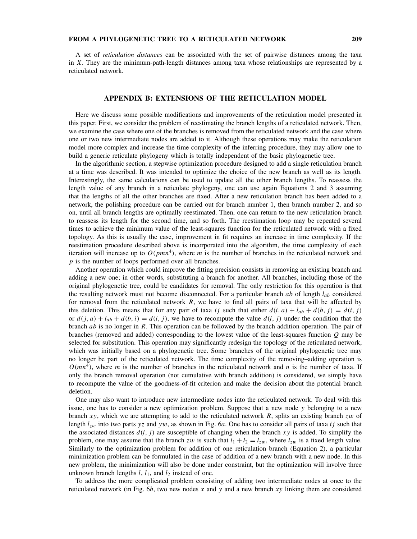A set of *reticulation distances* can be associated with the set of pairwise distances among the taxa in X. They are the minimum-path-length distances among taxa whose relationships are represented by a reticulated network.

## **APPENDIX B: EXTENSIONS OF THE RETICULATION MODEL**

Here we discuss some possible modifications and improvements of the reticulation model presented in this paper. First, we consider the problem of reestimating the branch lengths of a reticulated network. Then, we examine the case where one of the branches is removed from the reticulated network and the case where one or two new intermediate nodes are added to it. Although these operations may make the reticulation model more complex and increase the time complexity of the inferring procedure, they may allow one to build a generic reticulate phylogeny which is totally independent of the basic phylogenetic tree.

In the algorithmic section, a stepwise optimization procedure designed to add a single reticulation branch at a time was described. It was intended to optimize the choice of the new branch as well as its length. Interestingly, the same calculations can be used to update all the other branch lengths. To reassess the length value of any branch in a reticulate phylogeny, one can use again Equations 2 and 3 assuming that the lengths of all the other branches are fixed. After a new reticulation branch has been added to a network, the polishing procedure can be carried out for branch number 1, then branch number 2, and so on, until all branch lengths are optimally reestimated. Then, one can return to the new reticulation branch to reassess its length for the second time, and so forth. The reestimation loop may be repeated several times to achieve the minimum value of the least-squares function for the reticulated network with a fixed topology. As this is usually the case, improvement in fit requires an increase in time complexity. If the reestimation procedure described above is incorporated into the algorithm, the time complexity of each iteration will increase up to  $O(pmn^4)$ , where m is the number of branches in the reticulated network and p is the number of loops performed over all branches.

Another operation which could improve the fitting precision consists in removing an existing branch and adding a new one; in other words, substituting a branch for another. All branches, including those of the original phylogenetic tree, could be candidates for removal. The only restriction for this operation is that the resulting network must not become disconnected. For a particular branch ab of length  $l_{ab}$  considered for removal from the reticulated network  $R$ , we have to find all pairs of taxa that will be affected by this deletion. This means that for any pair of taxa ij such that either  $d(i, a) + l_{ab} + d(b, j) = d(i, j)$ or  $d(j, a) + l_{ab} + d(b, i) = d(i, j)$ , we have to recompute the value  $d(i, j)$  under the condition that the branch ab is no longer in R. This operation can be followed by the branch addition operation. The pair of branches (removed and added) corresponding to the lowest value of the least-squares function Q may be selected for substitution. This operation may significantly redesign the topology of the reticulated network, which was initially based on a phylogenetic tree. Some branches of the original phylogenetic tree may no longer be part of the reticulated network. The time complexity of the removing–adding operation is  $O(mn<sup>4</sup>)$ , where m is the number of branches in the reticulated network and n is the number of taxa. If only the branch removal operation (not cumulative with branch addition) is considered, we simply have to recompute the value of the goodness-of-fit criterion and make the decision about the potential branch deletion.

One may also want to introduce new intermediate nodes into the reticulated network. To deal with this issue, one has to consider a new optimization problem. Suppose that a new node y belonging to a new branch xy, which we are attempting to add to the reticulated network  $R$ , splits an existing branch zw of length  $l_{zw}$  into two parts yz and yw, as shown in Fig. 6a. One has to consider all pairs of taxa ij such that the associated distances  $d(i, j)$  are susceptible of changing when the branch xy is added. To simplify the problem, one may assume that the branch zw is such that  $l_1 + l_2 = l_{zw}$ , where  $l_{zw}$  is a fixed length value. Similarly to the optimization problem for addition of one reticulation branch (Equation 2), a particular minimization problem can be formulated in the case of addition of a new branch with a new node. In this new problem, the minimization will also be done under constraint, but the optimization will involve three unknown branch lengths  $l$ ,  $l_1$ , and  $l_2$  instead of one.

To address the more complicated problem consisting of adding two intermediate nodes at once to the reticulated network (in Fig. 6b, two new nodes x and y and a new branch  $xy$  linking them are considered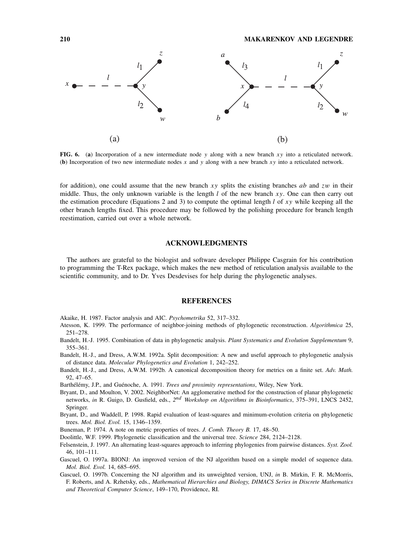

**FIG. 6.** (**a**) Incorporation of a new intermediate node y along with a new branch xy into a reticulated network. (**b**) Incorporation of two new intermediate nodes x and y along with a new branch xy into a reticulated network.

for addition), one could assume that the new branch xy splits the existing branches ab and zw in their middle. Thus, the only unknown variable is the length  $l$  of the new branch  $xy$ . One can then carry out the estimation procedure (Equations 2 and 3) to compute the optimal length  $l$  of xy while keeping all the other branch lengths fixed. This procedure may be followed by the polishing procedure for branch length reestimation, carried out over a whole network.

## **ACKNOWLEDGMENTS**

The authors are grateful to the biologist and software developer Philippe Casgrain for his contribution to programming the T-Rex package, which makes the new method of reticulation analysis available to the scientific community, and to Dr. Yves Desdevises for help during the phylogenetic analyses.

#### **REFERENCES**

Akaike, H. 1987. Factor analysis and AIC. *Psychometrika* 52, 317–332.

- Atesson, K. 1999. The performance of neighbor-joining methods of phylogenetic reconstruction. *Algorithmica* 25, 251–278.
- Bandelt, H.-J. 1995. Combination of data in phylogenetic analysis. *Plant Systematics and Evolution Supplementum* 9, 355–361.
- Bandelt, H.-J., and Dress, A.W.M. 1992a. Split decomposition: A new and useful approach to phylogenetic analysis of distance data. *Molecular Phylogenetics and Evolution* 1, 242–252.
- Bandelt, H.-J., and Dress, A.W.M. 1992b. A canonical decomposition theory for metrics on a finite set. *Adv. Math.* 92, 47–65.
- Barthélémy, J.P., and Guénoche, A. 1991. *Trees and proximity representations*, Wiley, New York.
- Bryant, D., and Moulton, V. 2002. NeighborNet: An agglomerative method for the construction of planar phylogenetic networks, *in* R. Guigo, D. Gusfield, eds., *2*nd *Workshop on Algorithms in Bioinformatics*, 375–391, LNCS 2452, Springer.
- Bryant, D., and Waddell, P. 1998. Rapid evaluation of least-squares and minimum-evolution criteria on phylogenetic trees. *Mol. Biol. Evol.* 15, 1346–1359.
- Buneman, P. 1974. A note on metric properties of trees. *J. Comb. Theory B.* 17, 48–50.
- Doolittle, W.F. 1999. Phylogenetic classification and the universal tree. *Science* 284, 2124–2128.
- Felsenstein, J. 1997. An alternating least-squares approach to inferring phylogenies from pairwise distances. *Syst. Zool.* 46, 101–111.
- Gascuel, O. 1997a. BIONJ: An improved version of the NJ algorithm based on a simple model of sequence data. *Mol. Biol. Evol.* 14, 685–695.
- Gascuel, O. 1997b. Concerning the NJ algorithm and its unweighted version, UNJ, *in* B. Mirkin, F. R. McMorris, F. Roberts, and A. Rzhetsky, eds., *Mathematical Hierarchies and Biology, DIMACS Series in Discrete Mathematics and Theoretical Computer Science*, 149–170, Providence, RI.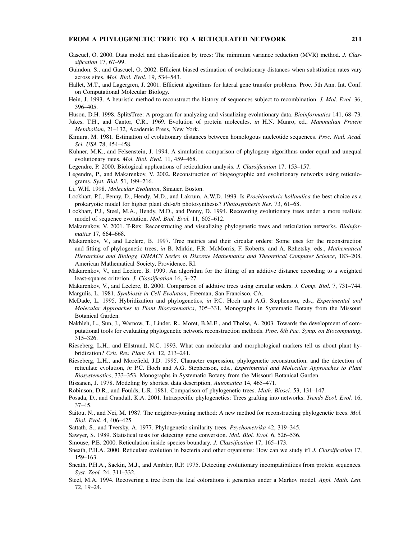#### **FROM A PHYLOGENETIC TREE TO A RETICULATED NETWORK 211**

- Gascuel, O. 2000. Data model and classification by trees: The minimum variance reduction (MVR) method. *J. Classification* 17, 67–99.
- Guindon, S., and Gascuel, O. 2002. Efficient biased estimation of evolutionary distances when substitution rates vary across sites. *Mol. Biol. Evol.* 19, 534–543.
- Hallet, M.T., and Lagergren, J. 2001. Efficient algorithms for lateral gene transfer problems. Proc. 5th Ann. Int. Conf. on Computational Molecular Biology.
- Hein, J. 1993. A heuristic method to reconstruct the history of sequences subject to recombination. *J. Mol. Evol.* 36, 396–405.
- Huson, D.H. 1998. SplitsTree: A program for analyzing and visualizing evolutionary data. *Bioinformatics* 141, 68–73.
- Jukes, T.H., and Cantor, C.R.. 1969. Evolution of protein molecules, *in* H.N. Munro, ed., *Mammalian Protein Metabolism*, 21–132, Academic Press, New York.
- Kimura, M. 1981. Estimation of evolutionary distances between homologous nucleotide sequences. *Proc. Natl. Acad. Sci. USA* 78, 454–458.
- Kuhner, M.K., and Felsenstein, J. 1994. A simulation comparison of phylogeny algorithms under equal and unequal evolutionary rates. *Mol. Biol. Evol.* 11, 459–468.
- Legendre, P. 2000. Biological applications of reticulation analysis. *J. Classification* 17, 153–157.
- Legendre, P., and Makarenkov, V. 2002. Reconstruction of biogeographic and evolutionary networks using reticulograms. *Syst. Biol.* 51, 199–216.
- Li, W.H. 1998. *Molecular Evolution*, Sinauer, Boston.
- Lockhart, P.J., Penny, D., Hendy, M.D., and Lakrum, A.W.D. 1993. Is *Prochlorothrix hollandica* the best choice as a prokaryotic model for higher plant chl-a/b photosynthesis? *Photosynthesis Res.* 73, 61–68.
- Lockhart, P.J., Steel, M.A., Hendy, M.D., and Penny, D. 1994. Recovering evolutionary trees under a more realistic model of sequence evolution. *Mol. Biol. Evol.* 11, 605–612.
- Makarenkov, V. 2001. T-Rex: Reconstructing and visualizing phylogenetic trees and reticulation networks. *Bioinformatics* 17, 664–668.
- Makarenkov, V., and Leclerc, B. 1997. Tree metrics and their circular orders: Some uses for the reconstruction and fitting of phylogenetic trees, *in* B. Mirkin, F.R. McMorris, F. Roberts, and A. Rzhetsky, eds., *Mathematical Hierarchies and Biology, DIMACS Series in Discrete Mathematics and Theoretical Computer Science*, 183–208, American Mathematical Society, Providence, RI.
- Makarenkov, V., and Leclerc, B. 1999. An algorithm for the fitting of an additive distance according to a weighted least-squares criterion. *J. Classification* 16, 3–27.
- Makarenkov, V., and Leclerc, B. 2000. Comparison of additive trees using circular orders. *J. Comp. Biol.* 7, 731–744.
- Margulis, L. 1981. *Symbiosis in Cell Evolution*, Freeman, San Francisco, CA.
- McDade, L. 1995. Hybridization and phylogenetics, *in* P.C. Hoch and A.G. Stephenson, eds., *Experimental and Molecular Approaches to Plant Biosystematics*, 305–331, Monographs in Systematic Botany from the Missouri Botanical Garden.
- Nakhleh, L., Sun, J., Warnow, T., Linder, R., Moret, B.M.E., and Tholse, A. 2003. Towards the development of computational tools for evaluating phylogenetic network reconstruction methods. *Proc. 8th Pac. Symp. on Biocomputing*, 315–326.
- Rieseberg, L.H., and Ellstrand, N.C. 1993. What can molecular and morphological markers tell us about plant hybridization? *Crit. Rev. Plant Sci.* 12, 213–241.
- Rieseberg, L.H., and Morefield, J.D. 1995. Character expression, phylogenetic reconstruction, and the detection of reticulate evolution, *in* P.C. Hoch and A.G. Stephenson, eds., *Experimental and Molecular Approaches to Plant Biosystematics*, 333–353, Monographs in Systematic Botany from the Missouri Botanical Garden.
- Rissanen, J. 1978. Modeling by shortest data description, *Automatica* 14, 465–471.
- Robinson, D.R., and Foulds, L.R. 1981. Comparison of phylogenetic trees. *Math. Biosci.* 53, 131–147.
- Posada, D., and Crandall, K.A. 2001. Intraspecific phylogenetics: Trees grafting into networks. *Trends Ecol. Evol.* 16, 37–45.
- Saitou, N., and Nei, M. 1987. The neighbor-joining method: A new method for reconstructing phylogenetic trees. *Mol. Biol. Evol.* 4, 406–425.
- Sattath, S., and Tversky, A. 1977. Phylogenetic similarity trees. *Psychometrika* 42, 319–345.
- Sawyer, S. 1989. Statistical tests for detecting gene conversion. *Mol. Biol. Evol.* 6, 526–536.
- Smouse, P.E. 2000. Reticulation inside species boundary. *J. Classification* 17, 165–173.
- Sneath, P.H.A. 2000. Reticulate evolution in bacteria and other organisms: How can we study it? *J. Classification* 17, 159–163.
- Sneath, P.H.A., Sackin, M.J., and Ambler, R.P. 1975. Detecting evolutionary incompatibilities from protein sequences. *Syst. Zool.* 24, 311–332.
- Steel, M.A. 1994. Recovering a tree from the leaf colorations it generates under a Markov model. *Appl. Math. Lett.* 72, 19–24.